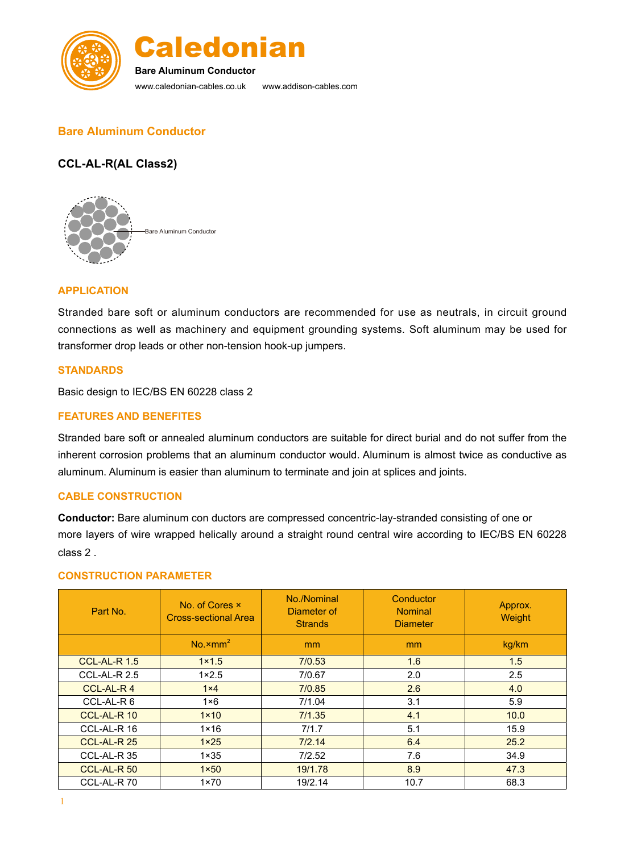



**Bare Aluminum Conductor**

www.caledonian-cables.co.uk www.addison-cables.com

# **Bare Aluminum Conductor**

## **CCL-AL-R(AL Class2)**



## **APPLICATION**

Stranded bare soft or aluminum conductors are recommended for use as neutrals, in circuit ground connections as well as machinery and equipment grounding systems. Soft aluminum may be used for transformer drop leads or other non-tension hook-up jumpers.

### **STANDARDS**

Basic design to IEC/BS EN 60228 class 2

### **FEATURES AND BENEFITES**

Stranded bare soft or annealed aluminum conductors are suitable for direct burial and do not suffer from the inherent corrosion problems that an aluminum conductor would. Aluminum is almost twice as conductive as aluminum. Aluminum is easier than aluminum to terminate and join at splices and joints.

#### **CABLE CONSTRUCTION**

**Conductor:** Bare aluminum con ductors are compressed concentric-lay-stranded consisting of one or more layers of wire wrapped helically around a straight round central wire according to IEC/BS EN 60228 class 2 .

#### **CONSTRUCTION PARAMETER**

| Part No.            | No. of Cores x<br><b>Cross-sectional Area</b> | No./Nominal<br>Diameter of<br><b>Strands</b> | Conductor<br><b>Nominal</b><br><b>Diameter</b> | Approx.<br>Weight |
|---------------------|-----------------------------------------------|----------------------------------------------|------------------------------------------------|-------------------|
|                     | $No. \times mm2$                              | m <sub>m</sub>                               | m <sub>m</sub>                                 | kg/km             |
| <b>CCL-AL-R 1.5</b> | $1 \times 1.5$                                | 7/0.53                                       | 1.6                                            | 1.5               |
| CCL-AL-R 2.5        | $1 \times 2.5$                                | 7/0.67                                       | 2.0                                            | 2.5               |
| CCL-AL-R4           | $1\times 4$                                   | 7/0.85                                       | 2.6                                            | 4.0               |
| CCL-AL-R 6          | $1 \times 6$                                  | 7/1.04                                       | 3.1                                            | 5.9               |
| CCL-AL-R 10         | $1 \times 10$                                 | 7/1.35                                       | 4.1                                            | 10.0              |
| CCL-AL-R 16         | $1 \times 16$                                 | 7/1.7                                        | 5.1                                            | 15.9              |
| CCL-AL-R 25         | $1 \times 25$                                 | 7/2.14                                       | 6.4                                            | 25.2              |
| CCL-AL-R 35         | $1 \times 35$                                 | 7/2.52                                       | 7.6                                            | 34.9              |
| CCL-AL-R 50         | $1 \times 50$                                 | 19/1.78                                      | 8.9                                            | 47.3              |
| CCL-AL-R70          | $1 \times 70$                                 | 19/2.14                                      | 10.7                                           | 68.3              |